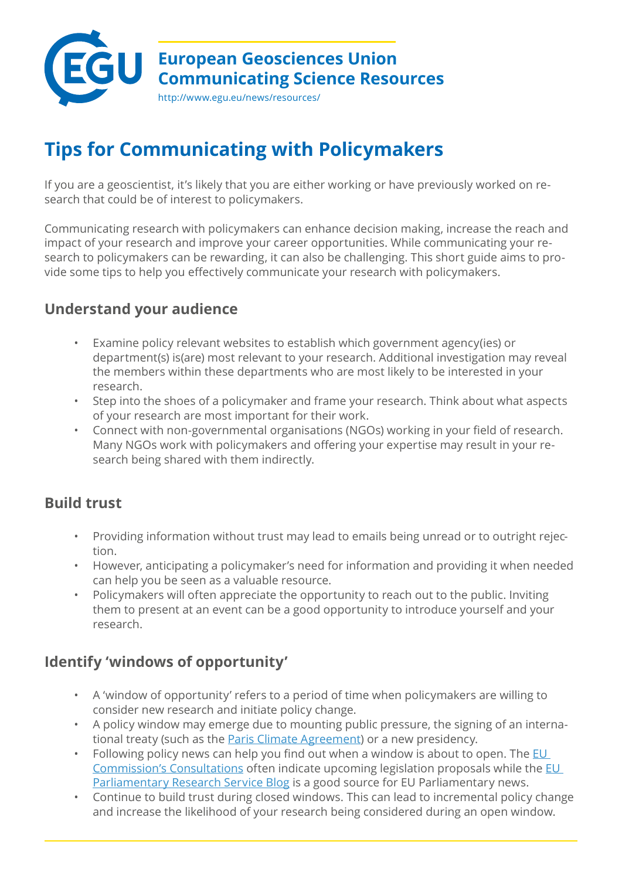

# **Tips for Communicating with Policymakers**

If you are a geoscientist, it's likely that you are either working or have previously worked on research that could be of interest to policymakers.

Communicating research with policymakers can enhance decision making, increase the reach and impact of your research and improve your career opportunities. While communicating your research to policymakers can be rewarding, it can also be challenging. This short guide aims to provide some tips to help you effectively communicate your research with policymakers.

## **Understand your audience**

- Examine policy relevant websites to establish which government agency(ies) or department(s) is(are) most relevant to your research. Additional investigation may reveal the members within these departments who are most likely to be interested in your research.
- Step into the shoes of a policymaker and frame your research. Think about what aspects of your research are most important for their work.
- Connect with non-governmental organisations (NGOs) working in your field of research. Many NGOs work with policymakers and offering your expertise may result in your research being shared with them indirectly.

## **Build trust**

- Providing information without trust may lead to emails being unread or to outright rejection.
- However, anticipating a policymaker's need for information and providing it when needed can help you be seen as a valuable resource.
- Policymakers will often appreciate the opportunity to reach out to the public. Inviting them to present at an event can be a good opportunity to introduce yourself and your research.

## **Identify 'windows of opportunity'**

- A 'window of opportunity' refers to a period of time when policymakers are willing to consider new research and initiate policy change.
- A policy window may emerge due to mounting public pressure, the signing of an international treaty (such as the [Paris Climate Agreement](https://unfccc.int/process-and-meetings/the-paris-agreement/the-paris-agreement)) or a new presidency.
- Following policy news can help you find out when a window is about to open. The EU [Commission's Consultations](https://ec.europa.eu/info/consultations_en) often indicate upcoming legislation proposals while the EU [Parliamentary Research Service Blog](https://epthinktank.eu/) is a good source for EU Parliamentary news.
- Continue to build trust during closed windows. This can lead to incremental policy change and increase the likelihood of your research being considered during an open window.